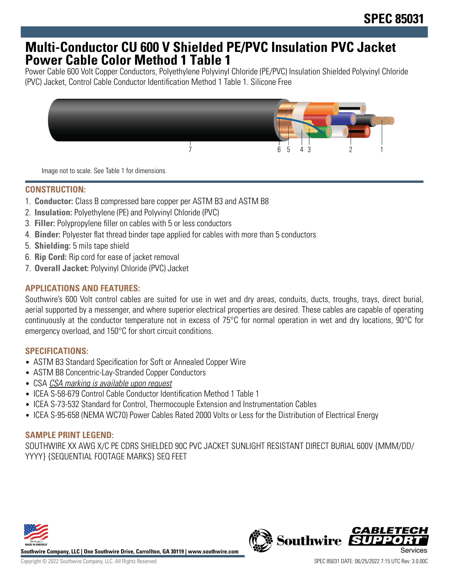# **Multi-Conductor CU 600 V Shielded PE/PVC Insulation PVC Jacket Power Cable Color Method 1 Table 1**

Power Cable 600 Volt Copper Conductors, Polyethylene Polyvinyl Chloride (PE/PVC) Insulation Shielded Polyvinyl Chloride (PVC) Jacket, Control Cable Conductor Identification Method 1 Table 1. Silicone Free



Image not to scale. See Table 1 for dimensions.

## **CONSTRUCTION:**

- 1. **Conductor:** Class B compressed bare copper per ASTM B3 and ASTM B8
- 2. **Insulation:** Polyethylene (PE) and Polyvinyl Chloride (PVC)
- 3. **Filler:** Polypropylene filler on cables with 5 or less conductors
- 4. **Binder:** Polyester flat thread binder tape applied for cables with more than 5 conductors
- 5. **Shielding:** 5 mils tape shield
- 6. **Rip Cord:** Rip cord for ease of jacket removal
- 7. **Overall Jacket:** Polyvinyl Chloride (PVC) Jacket

# **APPLICATIONS AND FEATURES:**

Southwire's 600 Volt control cables are suited for use in wet and dry areas, conduits, ducts, troughs, trays, direct burial, aerial supported by a messenger, and where superior electrical properties are desired. These cables are capable of operating continuously at the conductor temperature not in excess of 75°C for normal operation in wet and dry locations, 90°C for emergency overload, and 150°C for short circuit conditions.

#### **SPECIFICATIONS:**

- ASTM B3 Standard Specification for Soft or Annealed Copper Wire
- ASTM B8 Concentric-Lay-Stranded Copper Conductors
- CSA CSA marking is available upon request
- ICEA S-58-679 Control Cable Conductor Identification Method 1 Table 1
- ICEA S-73-532 Standard for Control, Thermocouple Extension and Instrumentation Cables
- ICEA S-95-658 (NEMA WC70) Power Cables Rated 2000 Volts or Less for the Distribution of Electrical Energy

# **SAMPLE PRINT LEGEND:**

SOUTHWIRE XX AWG X/C PE CDRS SHIELDED 90C PVC JACKET SUNLIGHT RESISTANT DIRECT BURIAL 600V {MMM/DD/ YYYY} {SEQUENTIAL FOOTAGE MARKS} SEQ FEET



**Southwire Company, LLC | One Southwire Drive, Carrollton, GA 30119 | www.southwire.com**